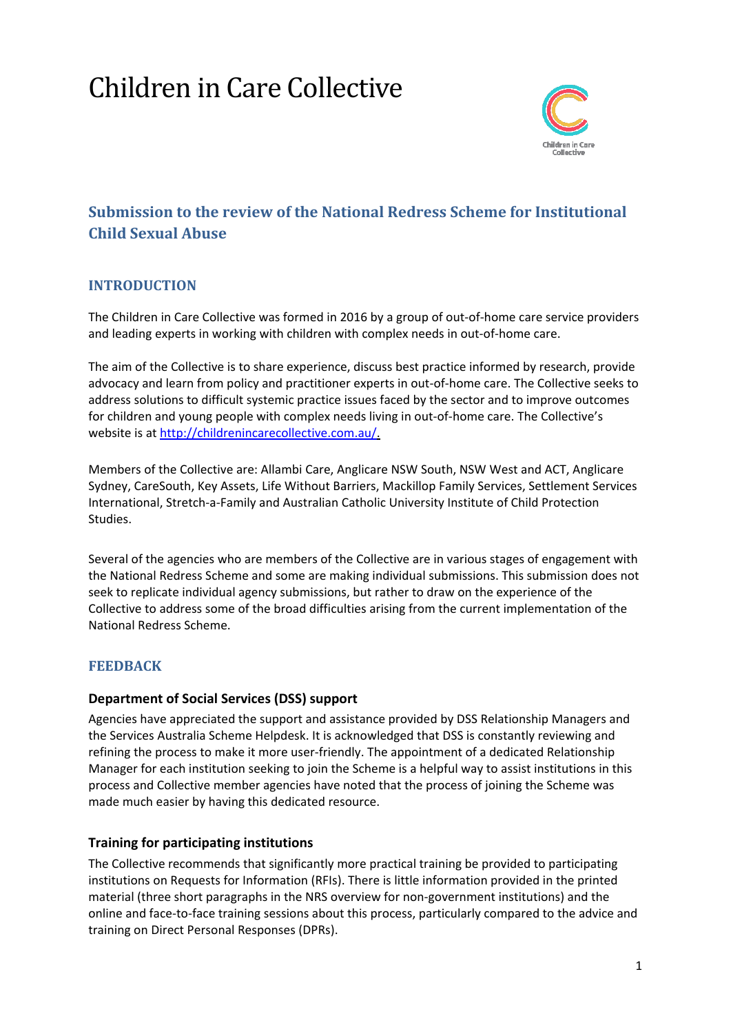# Children in Care Collective



# **Submission to the review of the National Redress Scheme for Institutional Child Sexual Abuse**

### **INTRODUCTION**

The Children in Care Collective was formed in 2016 by a group of out-of-home care service providers and leading experts in working with children with complex needs in out-of-home care.

The aim of the Collective is to share experience, discuss best practice informed by research, provide advocacy and learn from policy and practitioner experts in out-of-home care. The Collective seeks to address solutions to difficult systemic practice issues faced by the sector and to improve outcomes for children and young people with complex needs living in out-of-home care. The Collective's website is at [http://childrenincarecollective.com.au/.](http://childrenincarecollective.com.au/)

Members of the Collective are: Allambi Care, Anglicare NSW South, NSW West and ACT, Anglicare Sydney, CareSouth, Key Assets, Life Without Barriers, Mackillop Family Services, Settlement Services International, Stretch-a-Family and Australian Catholic University Institute of Child Protection Studies.

Several of the agencies who are members of the Collective are in various stages of engagement with the National Redress Scheme and some are making individual submissions. This submission does not seek to replicate individual agency submissions, but rather to draw on the experience of the Collective to address some of the broad difficulties arising from the current implementation of the National Redress Scheme.

# **FEEDBACK**

#### **Department of Social Services (DSS) support**

Agencies have appreciated the support and assistance provided by DSS Relationship Managers and the Services Australia Scheme Helpdesk. It is acknowledged that DSS is constantly reviewing and refining the process to make it more user-friendly. The appointment of a dedicated Relationship Manager for each institution seeking to join the Scheme is a helpful way to assist institutions in this process and Collective member agencies have noted that the process of joining the Scheme was made much easier by having this dedicated resource.

#### **Training for participating institutions**

The Collective recommends that significantly more practical training be provided to participating institutions on Requests for Information (RFIs). There is little information provided in the printed material (three short paragraphs in the NRS overview for non-government institutions) and the online and face-to-face training sessions about this process, particularly compared to the advice and training on Direct Personal Responses (DPRs).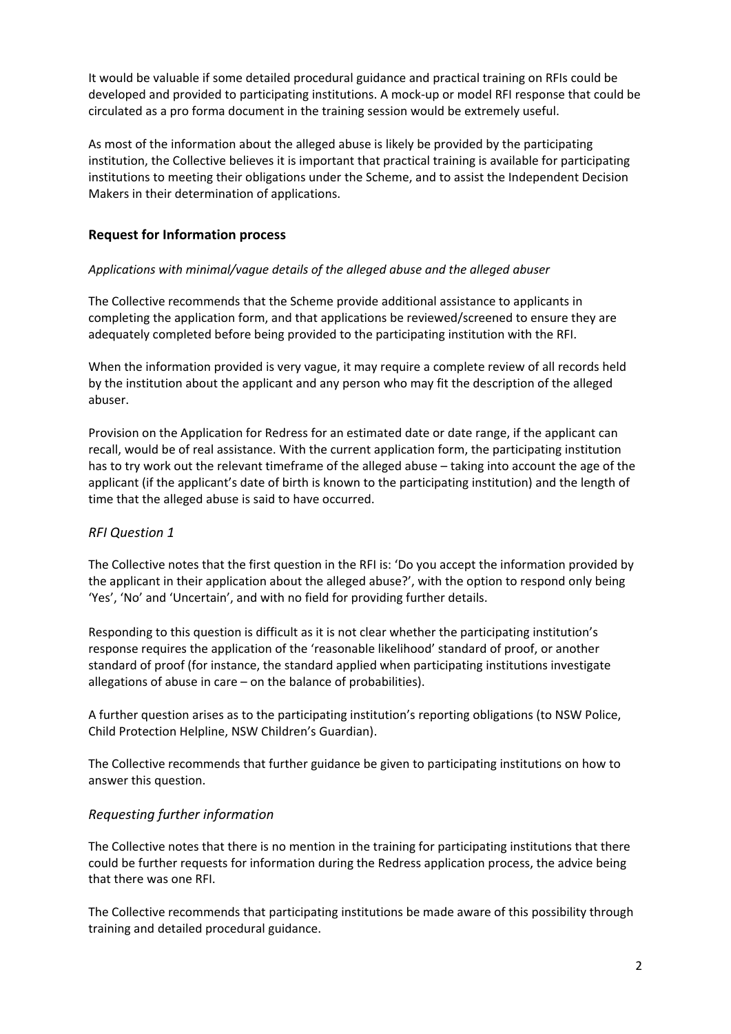It would be valuable if some detailed procedural guidance and practical training on RFIs could be developed and provided to participating institutions. A mock-up or model RFI response that could be circulated as a pro forma document in the training session would be extremely useful.

As most of the information about the alleged abuse is likely be provided by the participating institution, the Collective believes it is important that practical training is available for participating institutions to meeting their obligations under the Scheme, and to assist the Independent Decision Makers in their determination of applications.

### **Request for Information process**

#### *Applications with minimal/vague details of the alleged abuse and the alleged abuser*

The Collective recommends that the Scheme provide additional assistance to applicants in completing the application form, and that applications be reviewed/screened to ensure they are adequately completed before being provided to the participating institution with the RFI.

When the information provided is very vague, it may require a complete review of all records held by the institution about the applicant and any person who may fit the description of the alleged abuser.

Provision on the Application for Redress for an estimated date or date range, if the applicant can recall, would be of real assistance. With the current application form, the participating institution has to try work out the relevant timeframe of the alleged abuse – taking into account the age of the applicant (if the applicant's date of birth is known to the participating institution) and the length of time that the alleged abuse is said to have occurred.

#### *RFI Question 1*

The Collective notes that the first question in the RFI is: 'Do you accept the information provided by the applicant in their application about the alleged abuse?', with the option to respond only being 'Yes', 'No' and 'Uncertain', and with no field for providing further details.

Responding to this question is difficult as it is not clear whether the participating institution's response requires the application of the 'reasonable likelihood' standard of proof, or another standard of proof (for instance, the standard applied when participating institutions investigate allegations of abuse in care – on the balance of probabilities).

A further question arises as to the participating institution's reporting obligations (to NSW Police, Child Protection Helpline, NSW Children's Guardian).

The Collective recommends that further guidance be given to participating institutions on how to answer this question.

#### *Requesting further information*

The Collective notes that there is no mention in the training for participating institutions that there could be further requests for information during the Redress application process, the advice being that there was one RFI.

The Collective recommends that participating institutions be made aware of this possibility through training and detailed procedural guidance.